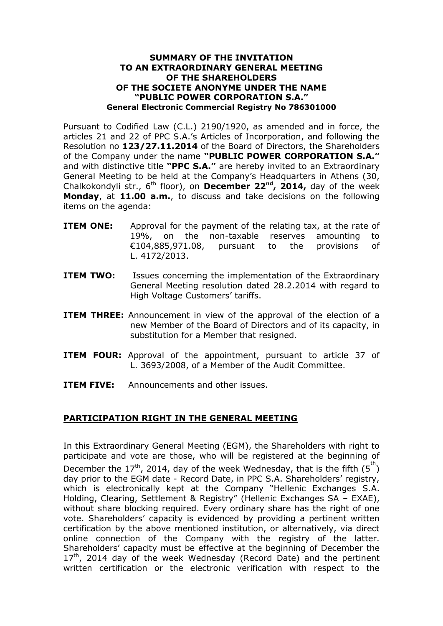## **SUMMARY OF THE INVITATION TO AN EXTRAORDINARY GENERAL MEETING OF THE SHAREHOLDERS OF THE SOCIETE ANONYME UNDER THE NAME "PUBLIC POWER CORPORATION S.A." General Electronic Commercial Registry No 786301000**

Pursuant to Codified Law (C.L.) 2190/1920, as amended and in force, the articles 21 and 22 of PPC S.A.'s Articles of Incorporation, and following the Resolution no **123/27.11.2014** of the Board of Directors, the Shareholders of the Company under the name **"PUBLIC POWER CORPORATION S.A."** and with distinctive title **"PPC S.A."** are hereby invited to an Extraordinary General Meeting to be held at the Company's Headquarters in Athens (30, Chalkokondyli str., 6<sup>th</sup> floor), on **December 22<sup>nd</sup>, 2014,** day of the week **Monday**, at **11.00 a.m.**, to discuss and take decisions on the following items on the agenda:

- **ITEM ONE:** Approval for the payment of the relating tax, at the rate of 19%, on the non-taxable reserves amounting to €104,885,971.08, pursuant to the provisions of L. 4172/2013.
- **ITEM TWO:** Issues concerning the implementation of the Extraordinary General Meeting resolution dated 28.2.2014 with regard to High Voltage Customers' tariffs.
- **ITEM THREE:** Announcement in view of the approval of the election of a new Member of the Board of Directors and of its capacity, in substitution for a Member that resigned.
- **ITEM FOUR:** Approval of the appointment, pursuant to article 37 of L. 3693/2008, of a Member of the Audit Committee.
- **ITEM FIVE:** Announcements and other issues.

## **PARTICIPATION RIGHT IN THE GENERAL MEETING**

In this Extraordinary General Meeting (EGM), the Shareholders with right to participate and vote are those, who will be registered at the beginning of December the 17<sup>th</sup>, 2014, day of the week Wednesday, that is the fifth  $(5^{th})$ day prior to the EGM date - Record Date, in PPC S.A. Shareholders' registry, which is electronically kept at the Company "Hellenic Exchanges S.A. Holding, Clearing, Settlement & Registry" (Hellenic Exchanges SA – EXAE), without share blocking required. Every ordinary share has the right of one vote. Shareholders' capacity is evidenced by providing a pertinent written certification by the above mentioned institution, or alternatively, via direct online connection of the Company with the registry of the latter. Shareholders' capacity must be effective at the beginning of December the  $17<sup>th</sup>$ , 2014 day of the week Wednesday (Record Date) and the pertinent written certification or the electronic verification with respect to the